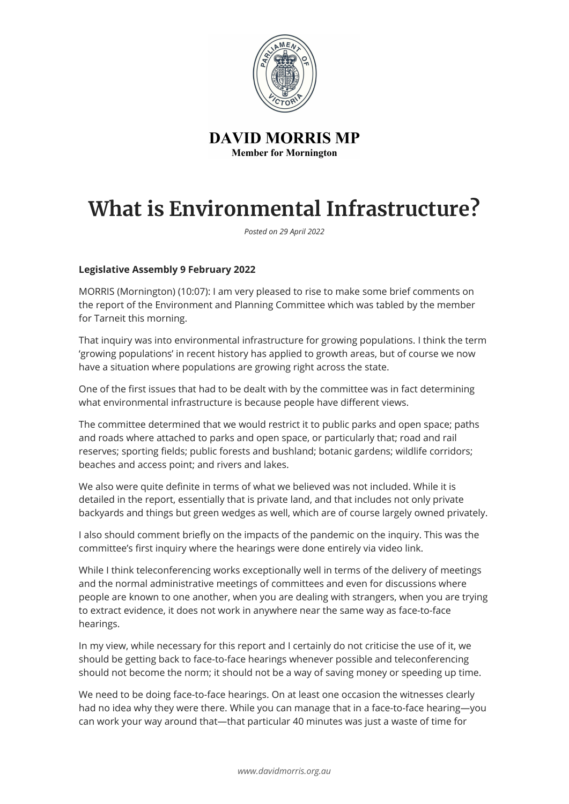

**DAVID MORRIS MP Member for Mornington** 

## **What is Environmental Infrastructure?**

*Posted on 29 April 2022*

## **Legislative Assembly 9 February 2022**

MORRIS (Mornington) (10:07): I am very pleased to rise to make some brief comments on the report of the Environment and Planning Committee which was tabled by the member for Tarneit this morning.

That inquiry was into environmental infrastructure for growing populations. I think the term 'growing populations' in recent history has applied to growth areas, but of course we now have a situation where populations are growing right across the state.

One of the first issues that had to be dealt with by the committee was in fact determining what environmental infrastructure is because people have different views.

The committee determined that we would restrict it to public parks and open space; paths and roads where attached to parks and open space, or particularly that; road and rail reserves; sporting fields; public forests and bushland; botanic gardens; wildlife corridors; beaches and access point; and rivers and lakes.

We also were quite definite in terms of what we believed was not included. While it is detailed in the report, essentially that is private land, and that includes not only private backyards and things but green wedges as well, which are of course largely owned privately.

I also should comment briefly on the impacts of the pandemic on the inquiry. This was the committee's first inquiry where the hearings were done entirely via video link.

While I think teleconferencing works exceptionally well in terms of the delivery of meetings and the normal administrative meetings of committees and even for discussions where people are known to one another, when you are dealing with strangers, when you are trying to extract evidence, it does not work in anywhere near the same way as face-to-face hearings.

In my view, while necessary for this report and I certainly do not criticise the use of it, we should be getting back to face-to-face hearings whenever possible and teleconferencing should not become the norm; it should not be a way of saving money or speeding up time.

We need to be doing face-to-face hearings. On at least one occasion the witnesses clearly had no idea why they were there. While you can manage that in a face-to-face hearing—you can work your way around that—that particular 40 minutes was just a waste of time for